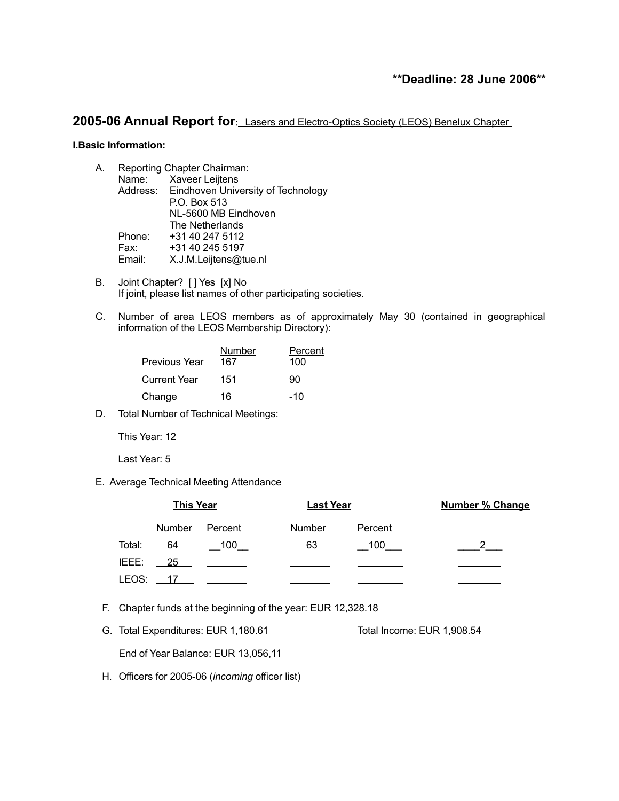# **\*\*Deadline: 28 June 2006\*\***

# **2005-06 Annual Report for**: Lasers and Electro-Optics Society (LEOS) Benelux Chapter

#### **I.Basic Information:**

| A. | Reporting Chapter Chairman: |                                             |  |
|----|-----------------------------|---------------------------------------------|--|
|    | Name:                       | Xaveer Leijtens                             |  |
|    |                             | Address: Eindhoven University of Technology |  |
|    |                             | P.O. Box 513                                |  |
|    |                             | NL-5600 MB Eindhoven                        |  |
|    |                             | The Netherlands                             |  |
|    | Phone:                      | +31 40 247 5112                             |  |
|    | Fax:                        | +31 40 245 5197                             |  |
|    | Email:                      | X.J.M.Leijtens@tue.nl                       |  |
|    |                             |                                             |  |

- B. Joint Chapter? [ ] Yes [x] No If joint, please list names of other participating societies.
- C. Number of area LEOS members as of approximately May 30 (contained in geographical information of the LEOS Membership Directory):

| Previous Year | <b>Number</b><br>167 | Percent<br>100 |
|---------------|----------------------|----------------|
| Current Year  | 151                  | 90             |
| Change        | 16                   | $-10$          |

D. Total Number of Technical Meetings:

This Year: 12

Last Year: 5

E. Average Technical Meeting Attendance

|        | <b>This Year</b> |         | <b>Last Year</b> |         | <b>Number % Change</b> |  |
|--------|------------------|---------|------------------|---------|------------------------|--|
|        | Number           | Percent | Number           | Percent |                        |  |
| Total: | 64               | - 100   | 63               | 100     |                        |  |
| IEEE:  | $\overline{25}$  |         |                  |         |                        |  |
| LEOS:  |                  |         |                  |         |                        |  |

- F. Chapter funds at the beginning of the year: EUR 12,328.18
- G. Total Expenditures: EUR 1,180.61 Total Income: EUR 1,908.54

End of Year Balance: EUR 13,056,11

H. Officers for 2005-06 (*incoming* officer list)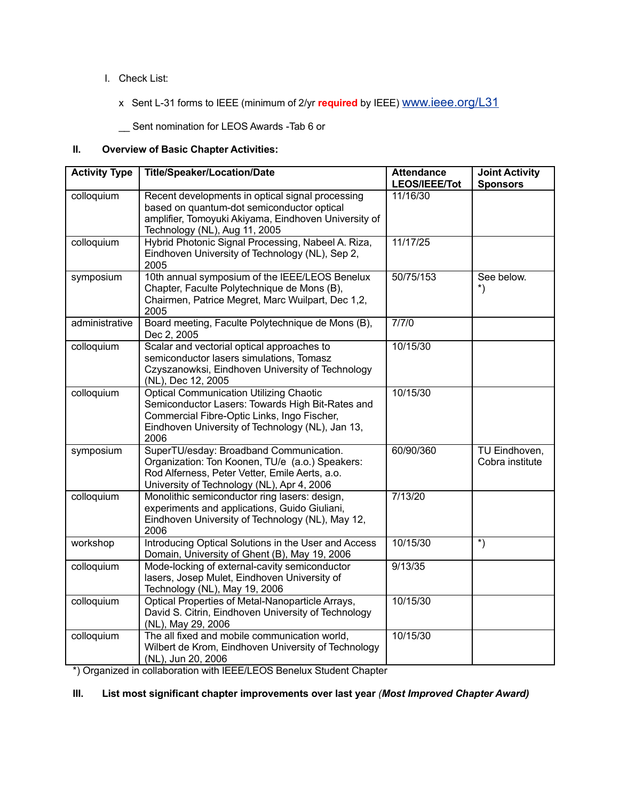# I. Check List:

x Sent L-31 forms to IEEE (minimum of 2/yr **required** by IEEE) [www.ieee.org/L31](http://www.ieee.org/organizations/rab/scs/Required_Reporting/Meetforms.html)

\_\_ Sent nomination for LEOS Awards -Tab 6 or

# **II. Overview of Basic Chapter Activities:**

| <b>Activity Type</b> | <b>Title/Speaker/Location/Date</b>                                                                                                                                                                            | <b>Attendance</b><br>LEOS/IEEE/Tot | <b>Joint Activity</b><br><b>Sponsors</b>     |
|----------------------|---------------------------------------------------------------------------------------------------------------------------------------------------------------------------------------------------------------|------------------------------------|----------------------------------------------|
| colloquium           | Recent developments in optical signal processing<br>based on quantum-dot semiconductor optical<br>amplifier, Tomoyuki Akiyama, Eindhoven University of<br>Technology (NL), Aug 11, 2005                       | 11/16/30                           |                                              |
| colloquium           | Hybrid Photonic Signal Processing, Nabeel A. Riza,<br>Eindhoven University of Technology (NL), Sep 2,<br>2005                                                                                                 | 11/17/25                           |                                              |
| symposium            | 10th annual symposium of the IEEE/LEOS Benelux<br>Chapter, Faculte Polytechnique de Mons (B),<br>Chairmen, Patrice Megret, Marc Wuilpart, Dec 1,2,<br>2005                                                    | 50/75/153                          | See below.<br>$^*)$                          |
| administrative       | Board meeting, Faculte Polytechnique de Mons (B),<br>Dec 2, 2005                                                                                                                                              | 7/7/0                              |                                              |
| colloquium           | Scalar and vectorial optical approaches to<br>semiconductor lasers simulations, Tomasz<br>Czyszanowksi, Eindhoven University of Technology<br>(NL), Dec 12, 2005                                              | 10/15/30                           |                                              |
| colloquium           | <b>Optical Communication Utilizing Chaotic</b><br>Semiconductor Lasers: Towards High Bit-Rates and<br>Commercial Fibre-Optic Links, Ingo Fischer,<br>Eindhoven University of Technology (NL), Jan 13,<br>2006 | 10/15/30                           |                                              |
| symposium            | SuperTU/esday: Broadband Communication.<br>Organization: Ton Koonen, TU/e (a.o.) Speakers:<br>Rod Alferness, Peter Vetter, Emile Aerts, a.o.<br>University of Technology (NL), Apr 4, 2006                    | 60/90/360                          | TU Eindhoven,<br>Cobra institute             |
| colloquium           | Monolithic semiconductor ring lasers: design,<br>experiments and applications, Guido Giuliani,<br>Eindhoven University of Technology (NL), May 12,<br>2006                                                    | 7/13/20                            |                                              |
| workshop             | Introducing Optical Solutions in the User and Access<br>Domain, University of Ghent (B), May 19, 2006                                                                                                         | 10/15/30                           | $\overline{\hspace{1mm}^{\ast}\hspace{1mm}}$ |
| colloquium           | Mode-locking of external-cavity semiconductor<br>lasers, Josep Mulet, Eindhoven University of<br>Technology (NL), May 19, 2006                                                                                | 9/13/35                            |                                              |
| colloquium           | Optical Properties of Metal-Nanoparticle Arrays,<br>David S. Citrin, Eindhoven University of Technology<br>(NL), May 29, 2006                                                                                 | 10/15/30                           |                                              |
| colloquium           | The all fixed and mobile communication world,<br>Wilbert de Krom, Eindhoven University of Technology<br>(NL), Jun 20, 2006                                                                                    | 10/15/30                           |                                              |

\*) Organized in collaboration with IEEE/LEOS Benelux Student Chapter

## **III. List most significant chapter improvements over last year** *(Most Improved Chapter Award)*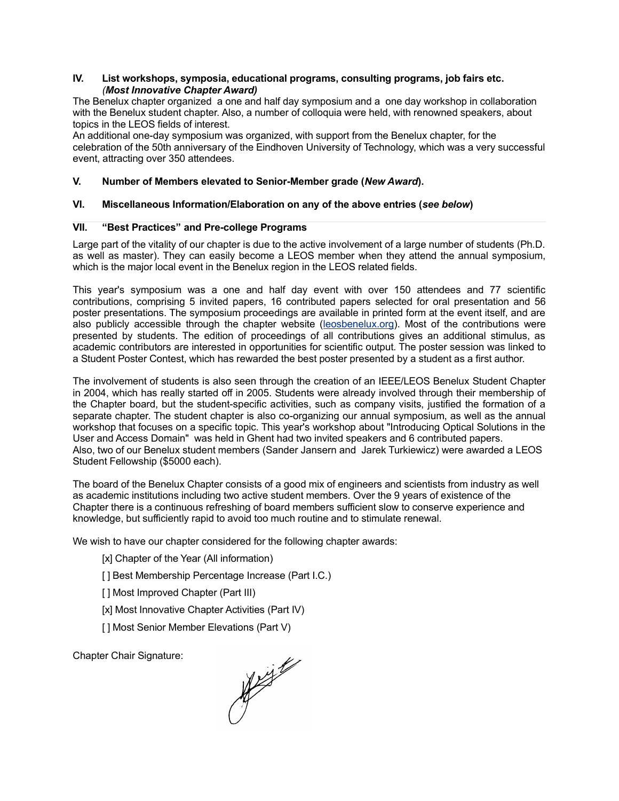## **IV. List workshops, symposia, educational programs, consulting programs, job fairs etc.** *(Most Innovative Chapter Award)*

The Benelux chapter organized a one and half day symposium and a one day workshop in collaboration with the Benelux student chapter. Also, a number of colloquia were held, with renowned speakers, about topics in the LEOS fields of interest.

An additional one-day symposium was organized, with support from the Benelux chapter, for the celebration of the 50th anniversary of the Eindhoven University of Technology, which was a very successful event, attracting over 350 attendees.

## **V. Number of Members elevated to Senior-Member grade (***New Award***).**

## **VI. Miscellaneous Information/Elaboration on any of the above entries (***see below***)**

#### **VII. "Best Practices" and Pre-college Programs**

Large part of the vitality of our chapter is due to the active involvement of a large number of students (Ph.D. as well as master). They can easily become a LEOS member when they attend the annual symposium, which is the major local event in the Benelux region in the LEOS related fields.

This year's symposium was a one and half day event with over 150 attendees and 77 scientific contributions, comprising 5 invited papers, 16 contributed papers selected for oral presentation and 56 poster presentations. The symposium proceedings are available in printed form at the event itself, and are also publicly accessible through the chapter website ([leosbenelux.org\)](http://leosbenelux.org/). Most of the contributions were presented by students. The edition of proceedings of all contributions gives an additional stimulus, as academic contributors are interested in opportunities for scientific output. The poster session was linked to a Student Poster Contest, which has rewarded the best poster presented by a student as a first author.

The involvement of students is also seen through the creation of an IEEE/LEOS Benelux Student Chapter in 2004, which has really started off in 2005. Students were already involved through their membership of the Chapter board, but the student-specific activities, such as company visits, justified the formation of a separate chapter. The student chapter is also co-organizing our annual symposium, as well as the annual workshop that focuses on a specific topic. This year's workshop about "Introducing Optical Solutions in the User and Access Domain" was held in Ghent had two invited speakers and 6 contributed papers. Also, two of our Benelux student members (Sander Jansern and Jarek Turkiewicz) were awarded a LEOS Student Fellowship (\$5000 each).

The board of the Benelux Chapter consists of a good mix of engineers and scientists from industry as well as academic institutions including two active student members. Over the 9 years of existence of the Chapter there is a continuous refreshing of board members sufficient slow to conserve experience and knowledge, but sufficiently rapid to avoid too much routine and to stimulate renewal.

We wish to have our chapter considered for the following chapter awards:

- [x] Chapter of the Year (All information)
- [] Best Membership Percentage Increase (Part I.C.)

[ ] Most Improved Chapter (Part III)

[x] Most Innovative Chapter Activities (Part IV)

[] Most Senior Member Elevations (Part V)

Chapter Chair Signature:

Maritim September 1996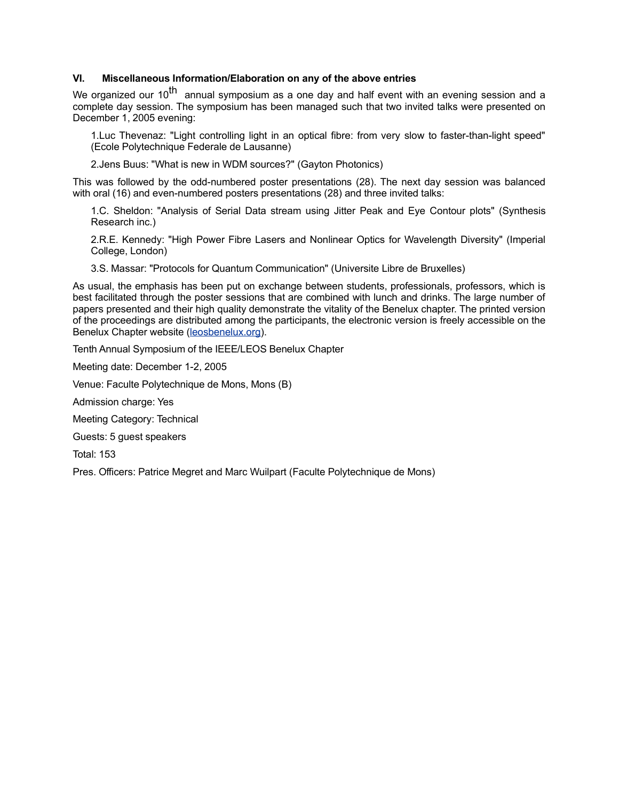## **VI. Miscellaneous Information/Elaboration on any of the above entries**

We organized our 10<sup>th</sup> annual symposium as a one day and half event with an evening session and a complete day session. The symposium has been managed such that two invited talks were presented on December 1, 2005 evening:

1.Luc Thevenaz: "Light controlling light in an optical fibre: from very slow to faster-than-light speed" (Ecole Polytechnique Federale de Lausanne)

2.Jens Buus: "What is new in WDM sources?" (Gayton Photonics)

This was followed by the odd-numbered poster presentations (28). The next day session was balanced with oral (16) and even-numbered posters presentations (28) and three invited talks:

1.C. Sheldon: "Analysis of Serial Data stream using Jitter Peak and Eye Contour plots" (Synthesis Research inc.)

2.R.E. Kennedy: "High Power Fibre Lasers and Nonlinear Optics for Wavelength Diversity" (Imperial College, London)

3.S. Massar: "Protocols for Quantum Communication" (Universite Libre de Bruxelles)

As usual, the emphasis has been put on exchange between students, professionals, professors, which is best facilitated through the poster sessions that are combined with lunch and drinks. The large number of papers presented and their high quality demonstrate the vitality of the Benelux chapter. The printed version of the proceedings are distributed among the participants, the electronic version is freely accessible on the Benelux Chapter website ([leosbenelux.org](http://leosbenelux.org/)).

Tenth Annual Symposium of the IEEE/LEOS Benelux Chapter

Meeting date: December 1-2, 2005

Venue: Faculte Polytechnique de Mons, Mons (B)

Admission charge: Yes

Meeting Category: Technical

Guests: 5 guest speakers

Total: 153

Pres. Officers: Patrice Megret and Marc Wuilpart (Faculte Polytechnique de Mons)